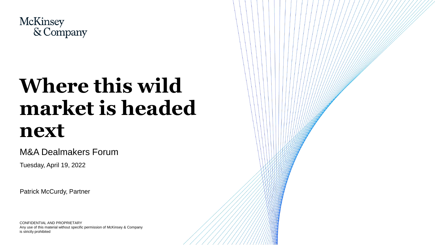

# **Where this wild market is headed next**

#### M&A Dealmakers Forum

Tuesday, April 19, 2022

Patrick McCurdy, Partner

CONFIDENTIAL AND PROPRIETARY Any use of this material without specific permission of McKinsey & Company is strictly prohibited

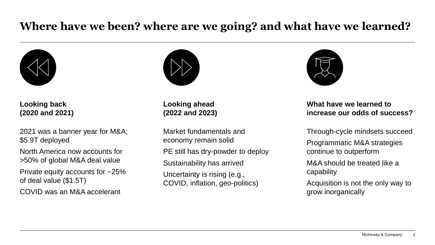## **Where have we been? where are we going? and what have we learned?**



**Looking back (2020 and 2021)**

2021 was a banner year for M&A; \$5.9T deployed

North America now accounts for >50% of global M&A deal value

Private equity accounts for ~25% of deal value (\$1.5T)

COVID was an M&A accelerant



**Looking ahead (2022 and 2023)**

Market fundamentals and economy remain solid PE still has dry-powder to deploy Sustainability has arrived Uncertainty is rising (e.g., COVID, inflation, geo-politics)



#### **What have we learned to increase our odds of success?**

Through-cycle mindsets succeed

Programmatic M&A strategies continue to outperform

M&A should be treated like a capability

Acquisition is not the only way to grow inorganically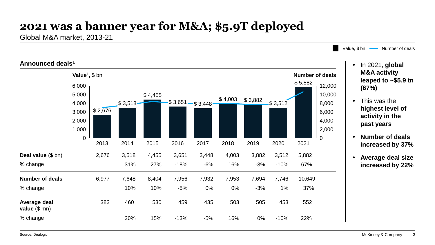## **2021 was a banner year for M&A; \$5.9T deployed**

Global M&A market, 2013-21

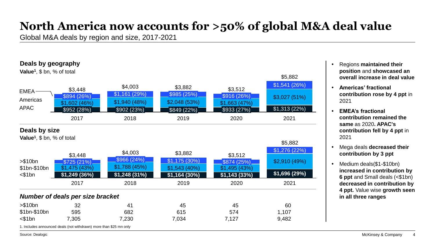## **North America now accounts for >50% of global M&A deal value**

Global M&A deals by region and size, 2017-2021



- Regions **maintained their position** and **showcased an overall increase in deal value**
- **Americas' fractional contribution rose by 4 ppt** in 2021
- **EMEA's fractional contribution remained the same** as 2020**. APAC's contribution fell by 4 ppt** in 2021
- Mega deals **decreased their contribution by 3 ppt**
- Medium deals(\$1-\$10bn) **increased in contribution by 6 ppt** and Small deals (<\$1bn) **decreased in contribution by 4 ppt.** Value wise **growth seen in all three ranges**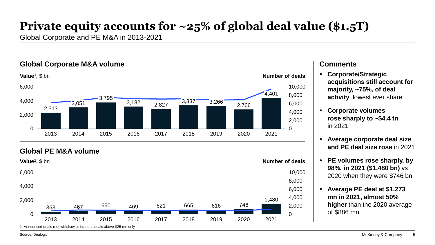## **Private equity accounts for ~25% of global deal value (\$1.5T)**

Global Corporate and PE M&A in 2013-2021

#### **Global Corporate M&A volume Comments Comments**



#### **Global PE M&A volume**



- **Corporate/Strategic acquisitions still account for majority, ~75%, of deal activity**, lowest ever share
- **Corporate volumes rose sharply to ~\$4.4 tn**  in 2021
- **Average corporate deal size and PE deal size rose** in 2021
- **PE volumes rose sharply, by 98%, in 2021 (\$1,480 bn)** vs 2020 when they were \$746 bn
- **Average PE deal at \$1,273 mn in 2021, almost 50% higher** than the 2020 average of \$886 mn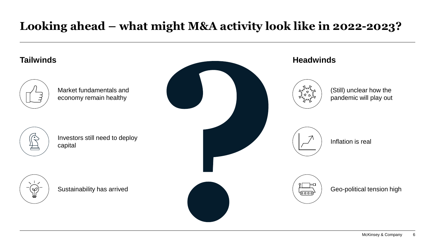## **Looking ahead – what might M&A activity look like in 2022-2023?**

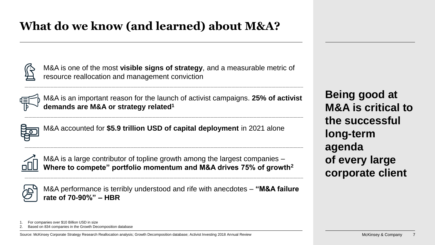## **What do we know (and learned) about M&A?**

M&A is one of the most **visible signs of strategy**, and a measurable metric of resource reallocation and management conviction



M&A is an important reason for the launch of activist campaigns. **25% of activist demands are M&A or strategy related<sup>1</sup>**



M&A accounted for **\$5.9 trillion USD of capital deployment** in 2021 alone



M&A is a large contributor of topline growth among the largest companies – **Where to compete" portfolio momentum and M&A drives 75% of growth<sup>2</sup>**

M&A performance is terribly understood and rife with anecdotes – **"M&A failure rate of 70-90%" – HBR**

**Being good at M&A is critical to the successful long-term agenda of every large corporate client**

<sup>1.</sup> For companies over \$10 Billion USD in size

<sup>2.</sup> Based on 834 companies in the Growth Decomposition database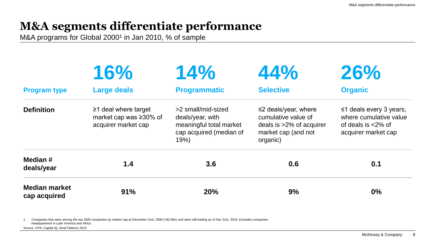## **M&A segments differentiate performance**

M&A programs for Global 2000<sup>1</sup> in Jan 2010, % of sample

| <b>Program type</b>                  | 16%<br><b>Large deals</b> | 14%<br><b>Programmatic</b> | 44%<br><b>Selective</b> | 26%<br><b>Organic</b> |
|--------------------------------------|---------------------------|----------------------------|-------------------------|-----------------------|
|                                      |                           |                            |                         |                       |
| Median #<br>deals/year               | 1.4                       | 3.6                        | 0.6                     | 0.1                   |
| <b>Median market</b><br>cap acquired | 91%                       | 20%                        | 9%                      | 0%                    |

1. Companies that were among the top 2000 companies by market cap at December 31st, 2009 (>\$2.0bn) and were still trading as of Dec 31st, 2019; Excludes companies headquartered in Latin America and Africa Source: CPA; Capital IQ; Deal Patterns 2019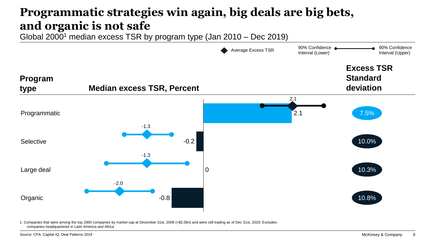## **Programmatic strategies win again, big deals are big bets, and organic is not safe**

Global 2000<sup>1</sup> median excess TSR by program type (Jan 2010 – Dec 2019)



1. Companies that were among the top 2000 companies by market cap at December 31st, 2009 (>\$2.0bn) and were still trading as of Dec 31st, 2019; Excludes companies headquartered in Latin America and Africa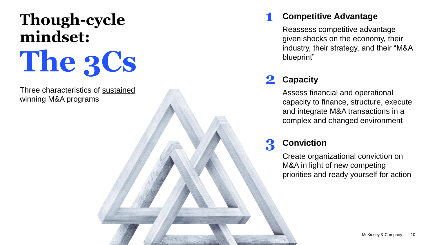# **Though-cycle mindset: The 3Cs**

Three characteristics of sustained winning M&A programs

#### **Competitive Advantage 1**

Reassess competitive advantage given shocks on the economy, their industry, their strategy, and their "M&A blueprint"

#### **Capacity 2**

Assess financial and operational capacity to finance, structure, execute and integrate M&A transactions in a complex and changed environment

#### **Conviction 3**

Create organizational conviction on M&A in light of new competing priorities and ready yourself for action